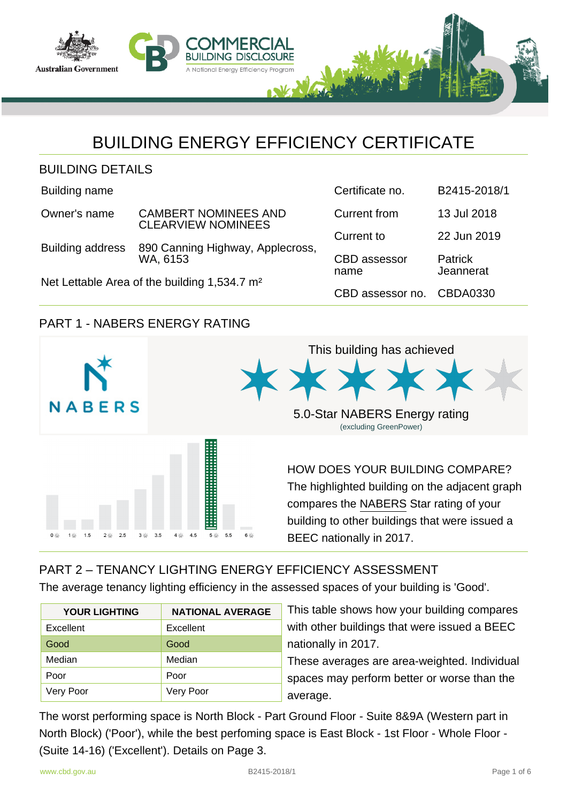

# BUILDING ENERGY EFFICIENCY CERTIFICATE

| <b>BUILDING DETAILS</b> |  |
|-------------------------|--|
|-------------------------|--|

Building name

| Owner's name            | <b>CAMBERT NOMINEES AND</b><br><b>CLEARVIEW NOMINEES</b> |  |  |  |
|-------------------------|----------------------------------------------------------|--|--|--|
| <b>Ruilding oddross</b> | 800 Canning Highway, Applacy                             |  |  |  |

Building address 890 Canning Highway, Applecross, WA, 6153

Net Lettable Area of the building 1,534.7 m²

| Certificate no.             | B2415-2018/1         |
|-----------------------------|----------------------|
| Current from                | 13 Jul 2018          |
| Current to                  | 22 Jun 2019          |
| <b>CBD</b> assessor<br>name | Patrick<br>Jeannerat |
| CBD assessor no.            | CBDA0330             |

## PART 1 - NABERS ENERGY RATING



## PART 2 – TENANCY LIGHTING ENERGY EFFICIENCY ASSESSMENT

The average tenancy lighting efficiency in the assessed spaces of your building is 'Good'.

| <b>YOUR LIGHTING</b> | <b>NATIONAL AVERAGE</b> |
|----------------------|-------------------------|
| Excellent            | Excellent               |
| Good                 | Good                    |
| Median               | Median                  |
| Poor                 | Poor                    |
| Very Poor            | Very Poor               |

This table shows how your building compares with other buildings that were issued a BEEC nationally in 2017.

These averages are area-weighted. Individual spaces may perform better or worse than the average.

The worst performing space is North Block - Part Ground Floor - Suite 8&9A (Western part in North Block) ('Poor'), while the best perfoming space is East Block - 1st Floor - Whole Floor - (Suite 14-16) ('Excellent'). Details on Page 3.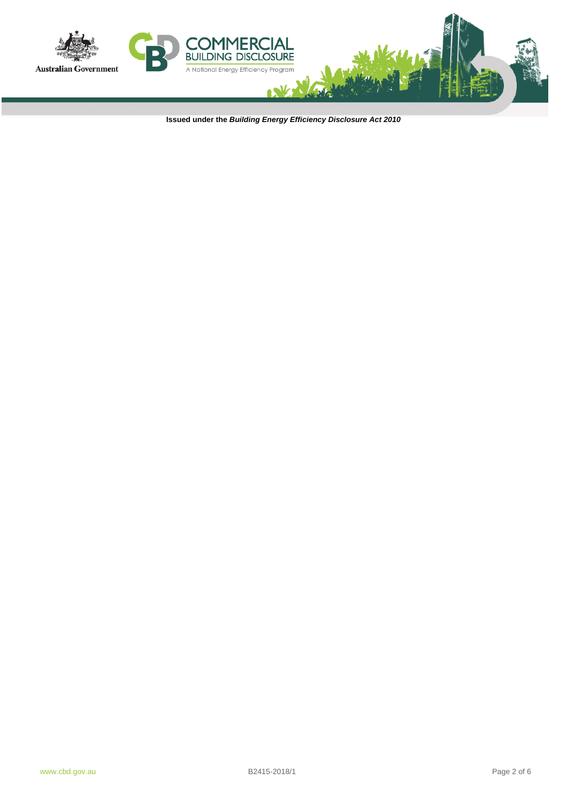

**Issued under the Building Energy Efficiency Disclosure Act 2010**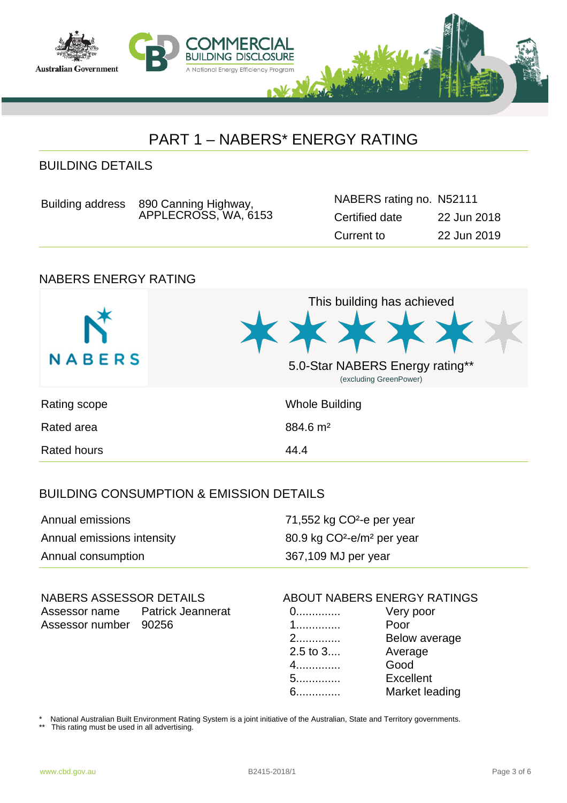

# PART 1 – NABERS\* ENERGY RATING

## BUILDING DETAILS

| Building address 890 Canning Highway, | NABERS rating no. |
|---------------------------------------|-------------------|
| APPLECROSS, WA, 6153                  | Certified date    |

## NABERS ENERGY RATING



## BUILDING CONSUMPTION & EMISSION DETAILS

| Annual emissions           | 71,552 kg CO <sup>2</sup> -e per year              |
|----------------------------|----------------------------------------------------|
| Annual emissions intensity | 80.9 kg CO <sup>2</sup> -e/m <sup>2</sup> per year |
| Annual consumption         | 367,109 MJ per year                                |

# Assessor name Patrick Jeannerat Assessor number 90256

### NABERS ASSESSOR DETAILS ABOUT NABERS ENERGY RATINGS

N52111

Current to 22 Jun 2019

22 Jun 2018

0.............. Very poor 1.............. Poor 2.............. Below average 2.5 to 3.... Average 4.............. Good 5.............. Excellent 6.............. Market leading

National Australian Built Environment Rating System is a joint initiative of the Australian, State and Territory governments.

This rating must be used in all advertising.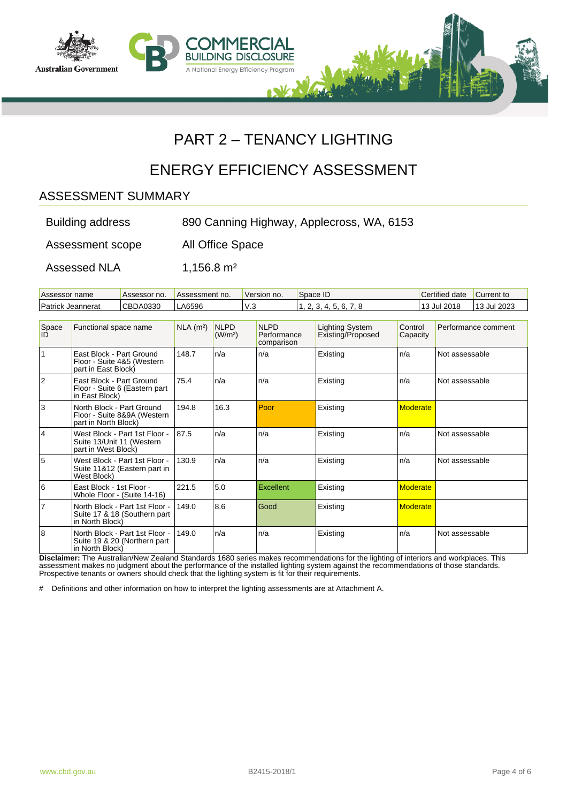

# PART 2 – TENANCY LIGHTING

# ENERGY EFFICIENCY ASSESSMENT

## ASSESSMENT SUMMARY

| <b>Building address</b> | 890 Canning Highway, Applecross, WA, 6153 |  |
|-------------------------|-------------------------------------------|--|
|                         |                                           |  |

Assessment scope All Office Space

Assessed NLA 1,156.8 m<sup>2</sup>

| Assessor name     | Assessor no. | Assessment no. | Version no. | Space ID               | Certified date   | Current to |
|-------------------|--------------|----------------|-------------|------------------------|------------------|------------|
| Patrick Jeannerat | CBDA0330     | A6596          | 112<br>v.J  | 55 K<br>$\overline{ }$ | . ال 10 Jul 2018 | 3 Jul 2023 |

| Space<br>IĎ    | Functional space name                                                             | $NLA$ (m <sup>2</sup> ) | <b>NLPD</b><br>(W/m <sup>2</sup> ) | <b>NLPD</b><br>Performance<br>comparison | <b>Lighting System</b><br>Existing/Proposed | Control<br>Capacity | Performance comment |
|----------------|-----------------------------------------------------------------------------------|-------------------------|------------------------------------|------------------------------------------|---------------------------------------------|---------------------|---------------------|
| 11             | East Block - Part Ground<br>Floor - Suite 4&5 (Western<br>part in East Block)     | 148.7                   | n/a                                | n/a                                      | Existing                                    | n/a                 | Not assessable      |
| 12             | East Block - Part Ground<br>Floor - Suite 6 (Eastern part<br>in East Block)       | 75.4                    | n/a                                | n/a                                      | Existing                                    | n/a                 | Not assessable      |
| lз             | North Block - Part Ground<br>Floor - Suite 8&9A (Western<br>part in North Block)  | 194.8                   | 16.3                               | Poor                                     | Existing                                    | <b>Moderate</b>     |                     |
| 14             | West Block - Part 1st Floor -<br>Suite 13/Unit 11 (Western<br>part in West Block) | 87.5                    | n/a                                | n/a                                      | Existing                                    | n/a                 | Not assessable      |
| 5              | West Block - Part 1st Floor -<br>Suite 11&12 (Eastern part in<br>West Block)      | 130.9                   | n/a                                | n/a                                      | Existing                                    | n/a                 | Not assessable      |
| 16             | East Block - 1st Floor -<br>Whole Floor - (Suite 14-16)                           | 221.5                   | 5.0                                | <b>Excellent</b>                         | Existing                                    | <b>Moderate</b>     |                     |
| $\overline{7}$ | North Block - Part 1st Floor -<br>Suite 17 & 18 (Southern part<br>in North Block) | 149.0                   | 8.6                                | Good                                     | Existing                                    | <b>Moderate</b>     |                     |
| 8              | North Block - Part 1st Floor -<br>Suite 19 & 20 (Northern part<br>in North Block) | 149.0                   | n/a                                | n/a                                      | Existing                                    | n/a                 | Not assessable      |

**Disclaimer:** The Australian/New Zealand Standards 1680 series makes recommendations for the lighting of interiors and workplaces. This assessment makes no judgment about the performance of the installed lighting system against the recommendations of those standards. Prospective tenants or owners should check that the lighting system is fit for their requirements.

# Definitions and other information on how to interpret the lighting assessments are at Attachment A.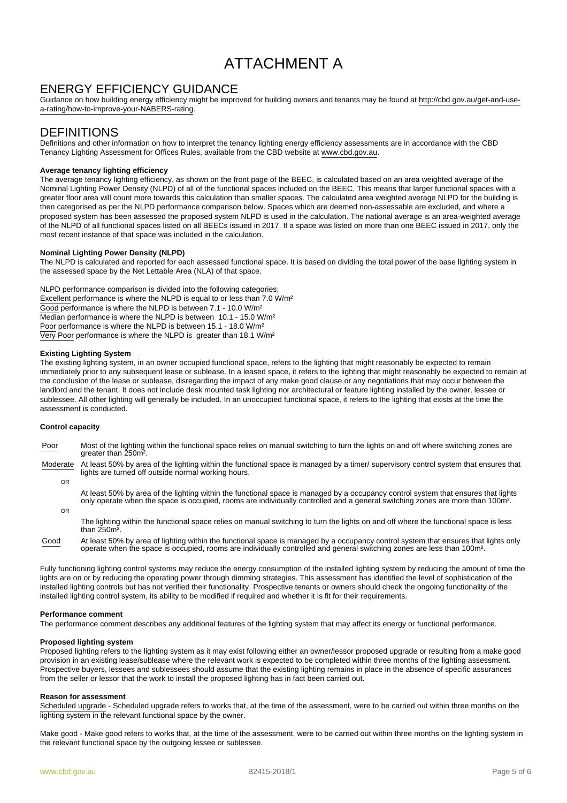# ATTACHMENT A

## ENERGY EFFICIENCY GUIDANCE

Guidance on how building energy efficiency might be improved for building owners and tenants may be found at http://cbd.gov.au/get-and-usea-rating/how-to-improve-your-NABERS-rating.

### **DEFINITIONS**

Definitions and other information on how to interpret the tenancy lighting energy efficiency assessments are in accordance with the CBD Tenancy Lighting Assessment for Offices Rules, available from the CBD website at www.cbd.gov.au.

### **Average tenancy lighting efficiency**

The average tenancy lighting efficiency, as shown on the front page of the BEEC, is calculated based on an area weighted average of the Nominal Lighting Power Density (NLPD) of all of the functional spaces included on the BEEC. This means that larger functional spaces with a greater floor area will count more towards this calculation than smaller spaces. The calculated area weighted average NLPD for the building is then categorised as per the NLPD performance comparison below. Spaces which are deemed non-assessable are excluded, and where a proposed system has been assessed the proposed system NLPD is used in the calculation. The national average is an area-weighted average of the NLPD of all functional spaces listed on all BEECs issued in 2017. If a space was listed on more than one BEEC issued in 2017, only the most recent instance of that space was included in the calculation.

#### **Nominal Lighting Power Density (NLPD)**

The NLPD is calculated and reported for each assessed functional space. It is based on dividing the total power of the base lighting system in the assessed space by the Net Lettable Area (NLA) of that space.

NLPD performance comparison is divided into the following categories; Excellent performance is where the NLPD is equal to or less than 7.0 W/m<sup>2</sup> Good performance is where the NLPD is between 7.1 - 10.0 W/m<sup>2</sup> Median performance is where the NLPD is between 10.1 - 15.0 W/m² Poor performance is where the NLPD is between 15.1 - 18.0 W/m<sup>2</sup> Very Poor performance is where the NLPD is greater than 18.1 W/m²

#### **Existing Lighting System**

The existing lighting system, in an owner occupied functional space, refers to the lighting that might reasonably be expected to remain immediately prior to any subsequent lease or sublease. In a leased space, it refers to the lighting that might reasonably be expected to remain at the conclusion of the lease or sublease, disregarding the impact of any make good clause or any negotiations that may occur between the landlord and the tenant. It does not include desk mounted task lighting nor architectural or feature lighting installed by the owner, lessee or sublessee. All other lighting will generally be included. In an unoccupied functional space, it refers to the lighting that exists at the time the assessment is conducted.

#### **Control capacity**

Poor Most of the lighting within the functional space relies on manual switching to turn the lights on and off where switching zones are greater than 250m².

Moderate At least 50% by area of the lighting within the functional space is managed by a timer/ supervisory control system that ensures that lights are turned off outside normal working hours.

OR

At least 50% by area of the lighting within the functional space is managed by a occupancy control system that ensures that lights only operate when the space is occupied, rooms are individually controlled and a general switching zones are more than 100m².

OR

The lighting within the functional space relies on manual switching to turn the lights on and off where the functional space is less than 250m².

Good At least 50% by area of lighting within the functional space is managed by a occupancy control system that ensures that lights only operate when the space is occupied, rooms are individually controlled and general switching zones are less than 100m².

Fully functioning lighting control systems may reduce the energy consumption of the installed lighting system by reducing the amount of time the lights are on or by reducing the operating power through dimming strategies. This assessment has identified the level of sophistication of the installed lighting controls but has not verified their functionality. Prospective tenants or owners should check the ongoing functionality of the installed lighting control system, its ability to be modified if required and whether it is fit for their requirements.

#### **Performance comment**

The performance comment describes any additional features of the lighting system that may affect its energy or functional performance.

#### **Proposed lighting system**

Proposed lighting refers to the lighting system as it may exist following either an owner/lessor proposed upgrade or resulting from a make good provision in an existing lease/sublease where the relevant work is expected to be completed within three months of the lighting assessment. Prospective buyers, lessees and sublessees should assume that the existing lighting remains in place in the absence of specific assurances from the seller or lessor that the work to install the proposed lighting has in fact been carried out.

#### **Reason for assessment**

Scheduled upgrade - Scheduled upgrade refers to works that, at the time of the assessment, were to be carried out within three months on the lighting system in the relevant functional space by the owner.

Make good - Make good refers to works that, at the time of the assessment, were to be carried out within three months on the lighting system in the relevant functional space by the outgoing lessee or sublessee.